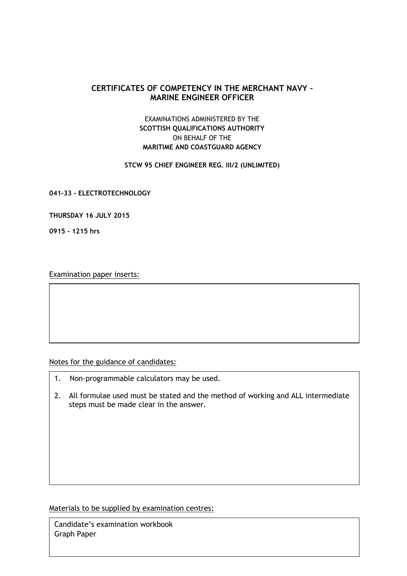## **CERTIFICATES OF COMPETENCY IN THE MERCHANT NAVY – MARINE ENGINEER OFFICER**

## EXAMINATIONS ADMINISTERED BY THE **SCOTTISH QUALIFICATIONS AUTHORITY** ON BEHALF OF THE **MARITIME AND COASTGUARD AGENCY**

## **STCW 95 CHIEF ENGINEER REG. III/2 (UNLIMITED)**

**041-33 - ELECTROTECHNOLOGY**

**THURSDAY 16 JULY 2015**

**0915 - 1215 hrs**

Examination paper inserts:

Notes for the guidance of candidates:

- 1. Non-programmable calculators may be used.
- 2. All formulae used must be stated and the method of working and ALL intermediate steps must be made clear in the answer.

Materials to be supplied by examination centres:

Candidate's examination workbook Graph Paper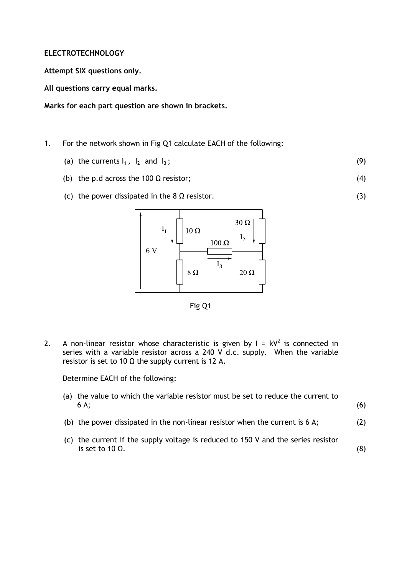## **ELECTROTECHNOLOGY**

**Attempt SIX questions only.**

**All questions carry equal marks.**

**Marks for each part question are shown in brackets.**

- 1. For the network shown in Fig Q1 calculate EACH of the following:
	- (a) the currents  $I_1$ ,  $I_2$  and  $I_3$ ; (9)
	- (b) the p.d across the 100  $\Omega$  resistor; (4)

(3)

(c) the power dissipated in the 8  $\Omega$  resistor.



Fig Q1

2. A non-linear resistor whose characteristic is given by  $I = kV^2$  is connected in series with a variable resistor across a 240 V d.c. supply. When the variable resistor is set to 10  $\Omega$  the supply current is 12 A.

Determine EACH of the following:

| (a) the value to which the variable resistor must be set to reduce the current to<br>$6A$ ;                  | (6) |
|--------------------------------------------------------------------------------------------------------------|-----|
| (b) the power dissipated in the non-linear resistor when the current is $6 \text{ A}$ ;                      | (2) |
| (c) the current if the supply voltage is reduced to 150 V and the series resistor<br>is set to 10 $\Omega$ . |     |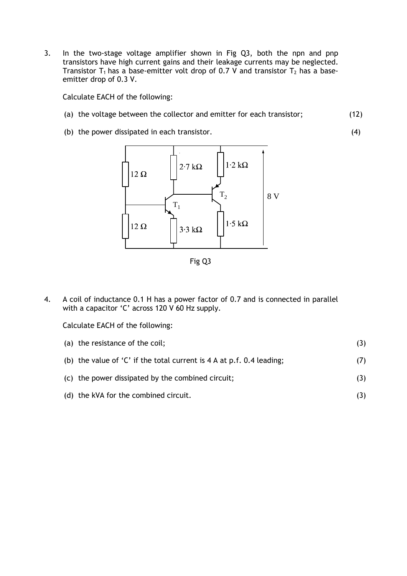3. In the two-stage voltage amplifier shown in Fig Q3, both the npn and pnp transistors have high current gains and their leakage currents may be neglected. Transistor T<sub>1</sub> has a base-emitter volt drop of 0.7 V and transistor T<sub>2</sub> has a baseemitter drop of 0.3 V.

Calculate EACH of the following:

(a) the voltage between the collector and emitter for each transistor; (12)

(4)

(b) the power dissipated in each transistor.



Fig Q3

4. A coil of inductance 0.1 H has a power factor of 0.7 and is connected in parallel with a capacitor 'C' across 120 V 60 Hz supply.

Calculate EACH of the following:

| (a) the resistance of the coil;                                                 |     |
|---------------------------------------------------------------------------------|-----|
| (b) the value of 'C' if the total current is $4 \text{ A}$ at p.f. 0.4 leading; | (7) |
| (c) the power dissipated by the combined circuit;                               | (3) |

(d) the kVA for the combined circuit. (3)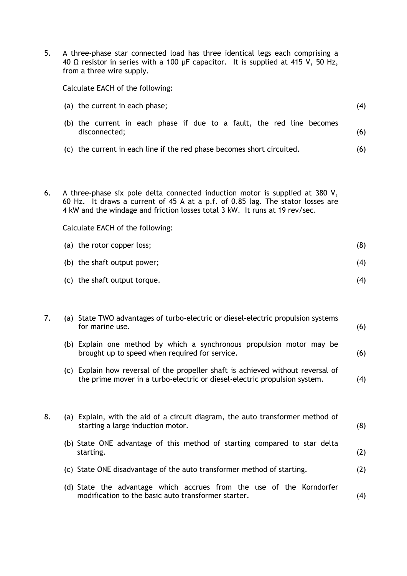5. A three-phase star connected load has three identical legs each comprising a 40 Ω resistor in series with a 100 µF capacitor. It is supplied at 415 V, 50 Hz, from a three wire supply.

Calculate EACH of the following:

disconnected;

| (a) the current in each phase; |  |  |  |  |  |  |  |  |  |  |  |  |                                                                       |  |
|--------------------------------|--|--|--|--|--|--|--|--|--|--|--|--|-----------------------------------------------------------------------|--|
|                                |  |  |  |  |  |  |  |  |  |  |  |  | (b) the current in each phase if due to a fault, the red line becomes |  |

(c) the current in each line if the red phase becomes short circuited. (6)

(6)

6. A three-phase six pole delta connected induction motor is supplied at 380 V, 60 Hz. It draws a current of 45 A at a p.f. of 0.85 lag. The stator losses are 4 kW and the windage and friction losses total 3 kW. It runs at 19 rev/sec.

Calculate EACH of the following:

| (a) the rotor copper loss;   | (8) |
|------------------------------|-----|
| (b) the shaft output power;  | (4) |
| (c) the shaft output torque. | (4) |

| 7. |     | (a) State TWO advantages of turbo-electric or diesel-electric propulsion systems<br>for marine use.                                                      |     |  |  |  |  |
|----|-----|----------------------------------------------------------------------------------------------------------------------------------------------------------|-----|--|--|--|--|
|    | (b) | Explain one method by which a synchronous propulsion motor may be<br>brought up to speed when required for service.                                      | (6) |  |  |  |  |
|    | (C) | Explain how reversal of the propeller shaft is achieved without reversal of<br>the prime mover in a turbo-electric or diesel-electric propulsion system. | (4) |  |  |  |  |

| 8. | (a) Explain, with the aid of a circuit diagram, the auto transformer method of<br>starting a large induction motor.         | (8) |
|----|-----------------------------------------------------------------------------------------------------------------------------|-----|
|    | (b) State ONE advantage of this method of starting compared to star delta<br>starting.                                      | (2) |
|    | (c) State ONE disadvantage of the auto transformer method of starting.                                                      | (2) |
|    | (d) State the advantage which accrues from the use of the Korndorfer<br>modification to the basic auto transformer starter. | (4) |